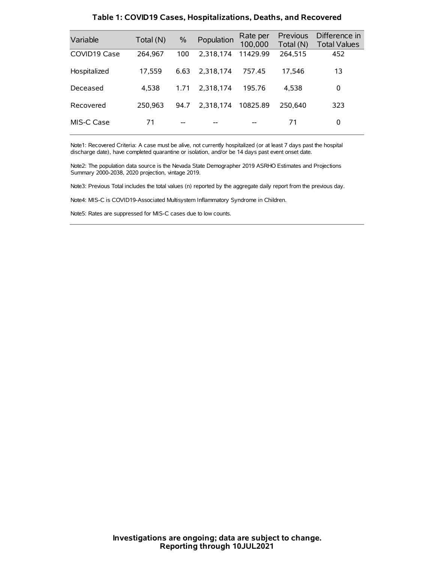| Variable     | Total (N) | $\frac{0}{0}$ | Population | Rate per<br>100,000 | Previous<br>Total (N) | Difference in<br><b>Total Values</b> |
|--------------|-----------|---------------|------------|---------------------|-----------------------|--------------------------------------|
| COVID19 Case | 264.967   | 100           | 2.318.174  | 11429.99            | 264,515               | 452                                  |
| Hospitalized | 17,559    | 6.63          | 2.318.174  | 757.45              | 17.546                | 13                                   |
| Deceased     | 4.538     | 1.71          | 2.318.174  | 195.76              | 4.538                 | 0                                    |
| Recovered    | 250.963   | 94.7          | 2.318.174  | 10825.89            | 250.640               | 323                                  |
| MIS-C Case   | 71        | --            |            |                     | 71                    | 0                                    |

#### **Table 1: COVID19 Cases, Hospitalizations, Deaths, and Recovered**

Note1: Recovered Criteria: A case must be alive, not currently hospitalized (or at least 7 days past the hospital discharge date), have completed quarantine or isolation, and/or be 14 days past event onset date.

Note2: The population data source is the Nevada State Demographer 2019 ASRHO Estimates and Projections Summary 2000-2038, 2020 projection, vintage 2019.

Note3: Previous Total includes the total values (n) reported by the aggregate daily report from the previous day.

Note4: MIS-C is COVID19-Associated Multisystem Inflammatory Syndrome in Children.

Note5: Rates are suppressed for MIS-C cases due to low counts.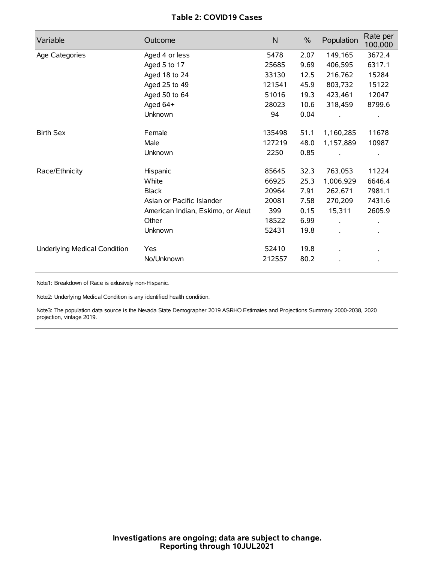## **Table 2: COVID19 Cases**

| Variable                     | Outcome                           | $\mathsf{N}$ | $\%$ | Population | Rate per<br>100,000 |
|------------------------------|-----------------------------------|--------------|------|------------|---------------------|
| Age Categories               | Aged 4 or less                    | 5478         | 2.07 | 149,165    | 3672.4              |
|                              | Aged 5 to 17                      | 25685        | 9.69 | 406,595    | 6317.1              |
|                              | Aged 18 to 24                     | 33130        | 12.5 | 216,762    | 15284               |
|                              | Aged 25 to 49                     | 121541       | 45.9 | 803,732    | 15122               |
|                              | Aged 50 to 64                     | 51016        | 19.3 | 423,461    | 12047               |
|                              | Aged 64+                          | 28023        | 10.6 | 318,459    | 8799.6              |
|                              | Unknown                           | 94           | 0.04 |            |                     |
| <b>Birth Sex</b>             | Female                            | 135498       | 51.1 | 1,160,285  | 11678               |
|                              | Male                              | 127219       | 48.0 | 1,157,889  | 10987               |
|                              | Unknown                           | 2250         | 0.85 |            |                     |
| Race/Ethnicity               | Hispanic                          | 85645        | 32.3 | 763,053    | 11224               |
|                              | White                             | 66925        | 25.3 | 1,006,929  | 6646.4              |
|                              | <b>Black</b>                      | 20964        | 7.91 | 262,671    | 7981.1              |
|                              | Asian or Pacific Islander         | 20081        | 7.58 | 270,209    | 7431.6              |
|                              | American Indian, Eskimo, or Aleut | 399          | 0.15 | 15,311     | 2605.9              |
|                              | Other                             | 18522        | 6.99 |            |                     |
|                              | <b>Unknown</b>                    | 52431        | 19.8 | $\cdot$    |                     |
| Underlying Medical Condition | Yes                               | 52410        | 19.8 |            |                     |
|                              | No/Unknown                        | 212557       | 80.2 |            |                     |

Note1: Breakdown of Race is exlusively non-Hispanic.

Note2: Underlying Medical Condition is any identified health condition.

Note3: The population data source is the Nevada State Demographer 2019 ASRHO Estimates and Projections Summary 2000-2038, 2020 projection, vintage 2019.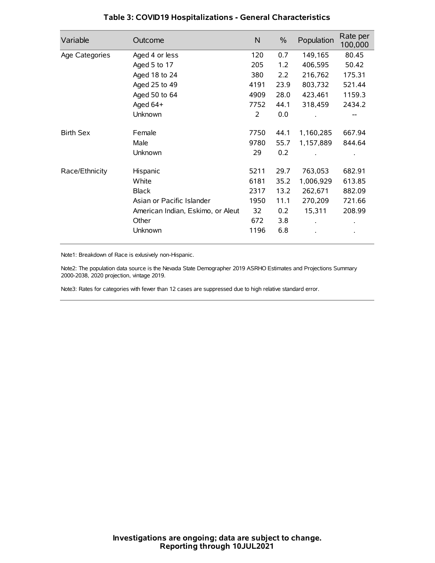| Variable         | Outcome                           | $\mathsf{N}$ | $\%$ | Population | Rate per<br>100,000 |
|------------------|-----------------------------------|--------------|------|------------|---------------------|
| Age Categories   | Aged 4 or less                    | 120          | 0.7  | 149,165    | 80.45               |
|                  | Aged 5 to 17                      | 205          | 1.2  | 406,595    | 50.42               |
|                  | Aged 18 to 24                     | 380          | 2.2  | 216,762    | 175.31              |
|                  | Aged 25 to 49                     | 4191         | 23.9 | 803,732    | 521.44              |
|                  | Aged 50 to 64                     | 4909         | 28.0 | 423,461    | 1159.3              |
|                  | Aged 64+                          | 7752         | 44.1 | 318,459    | 2434.2              |
|                  | Unknown                           | 2            | 0.0  |            |                     |
| <b>Birth Sex</b> | Female                            | 7750         | 44.1 | 1,160,285  | 667.94              |
|                  | Male                              | 9780         | 55.7 | 1,157,889  | 844.64              |
|                  | Unknown                           | 29           | 0.2  |            |                     |
| Race/Ethnicity   | Hispanic                          | 5211         | 29.7 | 763,053    | 682.91              |
|                  | White                             | 6181         | 35.2 | 1,006,929  | 613.85              |
|                  | <b>Black</b>                      | 2317         | 13.2 | 262,671    | 882.09              |
|                  | Asian or Pacific Islander         | 1950         | 11.1 | 270,209    | 721.66              |
|                  | American Indian, Eskimo, or Aleut | 32           | 0.2  | 15,311     | 208.99              |
|                  | Other                             | 672          | 3.8  |            |                     |
|                  | Unknown                           | 1196         | 6.8  |            |                     |

## **Table 3: COVID19 Hospitalizations - General Characteristics**

Note1: Breakdown of Race is exlusively non-Hispanic.

Note2: The population data source is the Nevada State Demographer 2019 ASRHO Estimates and Projections Summary 2000-2038, 2020 projection, vintage 2019.

Note3: Rates for categories with fewer than 12 cases are suppressed due to high relative standard error.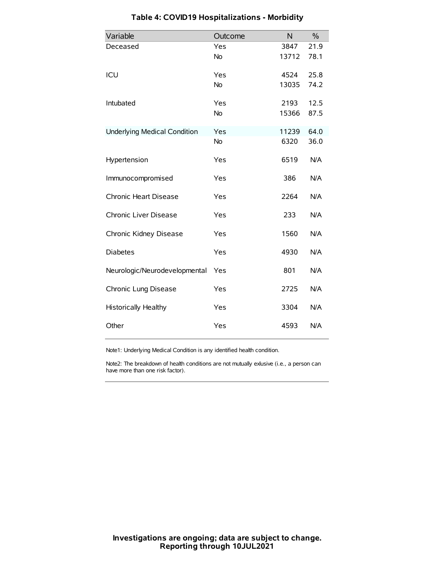| Variable                            | Outcome   | N     | $\%$ |
|-------------------------------------|-----------|-------|------|
| Deceased                            | Yes       | 3847  | 21.9 |
|                                     | <b>No</b> | 13712 | 78.1 |
| ICU                                 | Yes       | 4524  | 25.8 |
|                                     | <b>No</b> | 13035 | 74.2 |
| Intubated                           | Yes       | 2193  | 12.5 |
|                                     | <b>No</b> | 15366 | 87.5 |
| <b>Underlying Medical Condition</b> | Yes       | 11239 | 64.0 |
|                                     | No        | 6320  | 36.0 |
| Hypertension                        | Yes       | 6519  | N/A  |
| Immunocompromised                   | Yes       | 386   | N/A  |
| Chronic Heart Disease               | Yes       | 2264  | N/A  |
| Chronic Liver Disease               | Yes       | 233   | N/A  |
| Chronic Kidney Disease              | Yes       | 1560  | N/A  |
| <b>Diabetes</b>                     | Yes       | 4930  | N/A  |
| Neurologic/Neurodevelopmental       | Yes       | 801   | N/A  |
| Chronic Lung Disease                | Yes       | 2725  | N/A  |
| <b>Historically Healthy</b>         | Yes       | 3304  | N/A  |
| Other                               | Yes       | 4593  | N/A  |

# **Table 4: COVID19 Hospitalizations - Morbidity**

Note1: Underlying Medical Condition is any identified health condition.

Note2: The breakdown of health conditions are not mutually exlusive (i.e., a person can have more than one risk factor).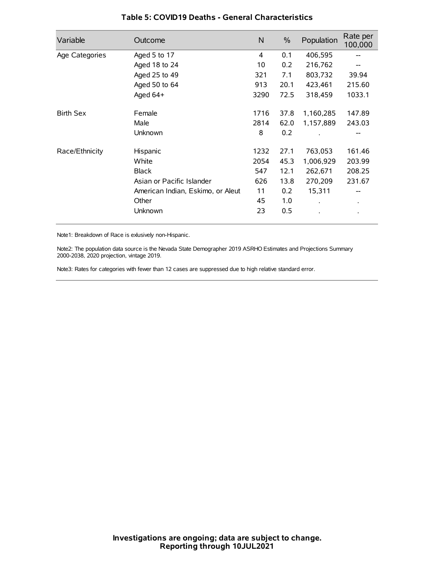| Variable         | Outcome                           | $\mathsf{N}$ | $\%$ | Population           | Rate per<br>100,000 |
|------------------|-----------------------------------|--------------|------|----------------------|---------------------|
| Age Categories   | Aged 5 to 17                      | 4            | 0.1  | 406,595              |                     |
|                  | Aged 18 to 24                     | 10           | 0.2  | 216,762              |                     |
|                  | Aged 25 to 49                     | 321          | 7.1  | 803,732              | 39.94               |
|                  | Aged 50 to 64                     | 913          | 20.1 | 423,461              | 215.60              |
|                  | Aged 64+                          | 3290         | 72.5 | 318,459              | 1033.1              |
| <b>Birth Sex</b> | Female                            | 1716         | 37.8 | 1,160,285            | 147.89              |
|                  | Male                              | 2814         | 62.0 | 1,157,889            | 243.03              |
|                  | Unknown                           | 8            | 0.2  |                      |                     |
| Race/Ethnicity   | Hispanic                          | 1232         | 27.1 | 763,053              | 161.46              |
|                  | White                             | 2054         | 45.3 | 1,006,929            | 203.99              |
|                  | <b>Black</b>                      | 547          | 12.1 | 262,671              | 208.25              |
|                  | Asian or Pacific Islander         | 626          | 13.8 | 270,209              | 231.67              |
|                  | American Indian, Eskimo, or Aleut | 11           | 0.2  | 15,311               |                     |
|                  | Other                             | 45           | 1.0  | $\ddot{\phantom{0}}$ | $\bullet$           |
|                  | Unknown                           | 23           | 0.5  |                      |                     |

### **Table 5: COVID19 Deaths - General Characteristics**

Note1: Breakdown of Race is exlusively non-Hispanic.

Note2: The population data source is the Nevada State Demographer 2019 ASRHO Estimates and Projections Summary 2000-2038, 2020 projection, vintage 2019.

Note3: Rates for categories with fewer than 12 cases are suppressed due to high relative standard error.